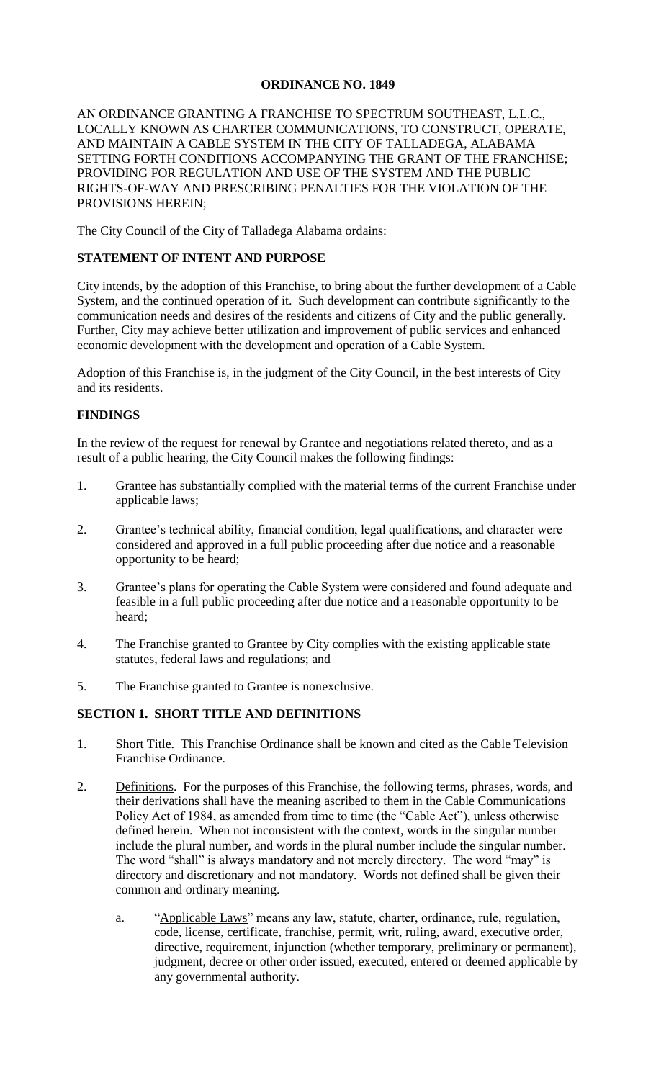# **ORDINANCE NO. 1849**

### AN ORDINANCE GRANTING A FRANCHISE TO SPECTRUM SOUTHEAST, L.L.C., LOCALLY KNOWN AS CHARTER COMMUNICATIONS, TO CONSTRUCT, OPERATE, AND MAINTAIN A CABLE SYSTEM IN THE CITY OF TALLADEGA, ALABAMA SETTING FORTH CONDITIONS ACCOMPANYING THE GRANT OF THE FRANCHISE; PROVIDING FOR REGULATION AND USE OF THE SYSTEM AND THE PUBLIC RIGHTS-OF-WAY AND PRESCRIBING PENALTIES FOR THE VIOLATION OF THE PROVISIONS HEREIN;

The City Council of the City of Talladega Alabama ordains:

### **STATEMENT OF INTENT AND PURPOSE**

City intends, by the adoption of this Franchise, to bring about the further development of a Cable System, and the continued operation of it. Such development can contribute significantly to the communication needs and desires of the residents and citizens of City and the public generally. Further, City may achieve better utilization and improvement of public services and enhanced economic development with the development and operation of a Cable System.

Adoption of this Franchise is, in the judgment of the City Council, in the best interests of City and its residents.

### **FINDINGS**

In the review of the request for renewal by Grantee and negotiations related thereto, and as a result of a public hearing, the City Council makes the following findings:

- 1. Grantee has substantially complied with the material terms of the current Franchise under applicable laws;
- 2. Grantee's technical ability, financial condition, legal qualifications, and character were considered and approved in a full public proceeding after due notice and a reasonable opportunity to be heard;
- 3. Grantee's plans for operating the Cable System were considered and found adequate and feasible in a full public proceeding after due notice and a reasonable opportunity to be heard;
- 4. The Franchise granted to Grantee by City complies with the existing applicable state statutes, federal laws and regulations; and
- 5. The Franchise granted to Grantee is nonexclusive.

### **SECTION 1. SHORT TITLE AND DEFINITIONS**

- 1. Short Title. This Franchise Ordinance shall be known and cited as the Cable Television Franchise Ordinance.
- 2. Definitions. For the purposes of this Franchise, the following terms, phrases, words, and their derivations shall have the meaning ascribed to them in the Cable Communications Policy Act of 1984, as amended from time to time (the "Cable Act"), unless otherwise defined herein. When not inconsistent with the context, words in the singular number include the plural number, and words in the plural number include the singular number. The word "shall" is always mandatory and not merely directory. The word "may" is directory and discretionary and not mandatory. Words not defined shall be given their common and ordinary meaning.
	- a. "Applicable Laws" means any law, statute, charter, ordinance, rule, regulation, code, license, certificate, franchise, permit, writ, ruling, award, executive order, directive, requirement, injunction (whether temporary, preliminary or permanent), judgment, decree or other order issued, executed, entered or deemed applicable by any governmental authority.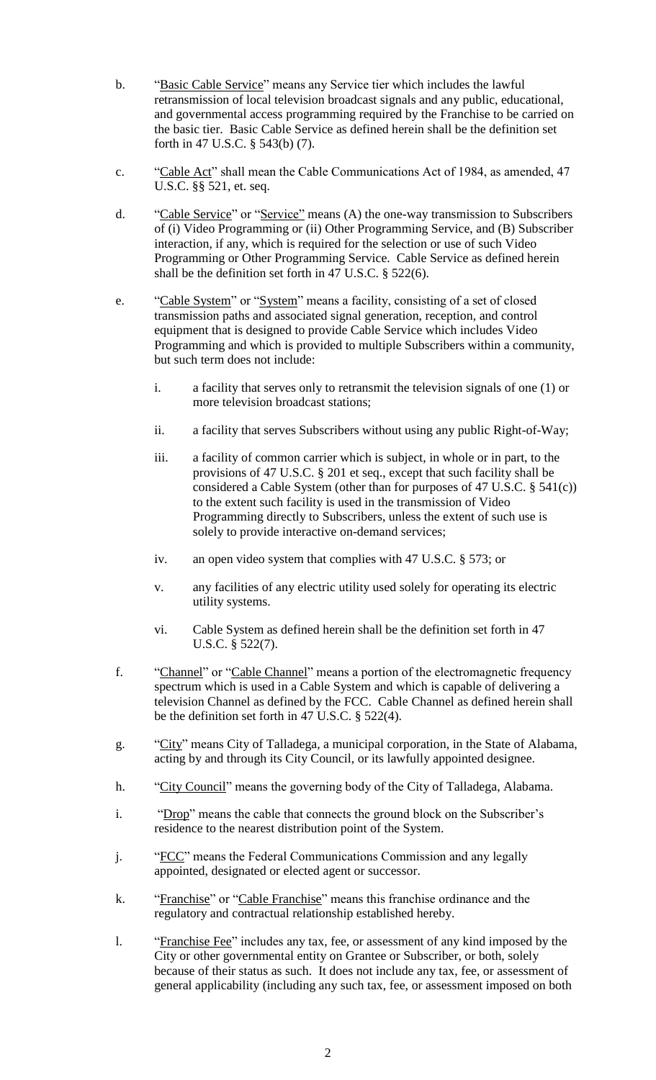- b. "Basic Cable Service" means any Service tier which includes the lawful retransmission of local television broadcast signals and any public, educational, and governmental access programming required by the Franchise to be carried on the basic tier. Basic Cable Service as defined herein shall be the definition set forth in 47 U.S.C. § 543(b) (7).
- c. "Cable Act" shall mean the Cable Communications Act of 1984, as amended, 47 U.S.C. §§ 521, et. seq.
- d. "Cable Service" or "Service" means (A) the one-way transmission to Subscribers of (i) Video Programming or (ii) Other Programming Service, and (B) Subscriber interaction, if any, which is required for the selection or use of such Video Programming or Other Programming Service. Cable Service as defined herein shall be the definition set forth in 47 U.S.C. § 522(6).
- e. "Cable System" or "System" means a facility, consisting of a set of closed transmission paths and associated signal generation, reception, and control equipment that is designed to provide Cable Service which includes Video Programming and which is provided to multiple Subscribers within a community, but such term does not include:
	- i. a facility that serves only to retransmit the television signals of one (1) or more television broadcast stations;
	- ii. a facility that serves Subscribers without using any public Right-of-Way;
	- iii. a facility of common carrier which is subject, in whole or in part, to the provisions of 47 U.S.C. § 201 et seq., except that such facility shall be considered a Cable System (other than for purposes of 47 U.S.C. § 541(c)) to the extent such facility is used in the transmission of Video Programming directly to Subscribers, unless the extent of such use is solely to provide interactive on-demand services;
	- iv. an open video system that complies with 47 U.S.C. § 573; or
	- v. any facilities of any electric utility used solely for operating its electric utility systems.
	- vi. Cable System as defined herein shall be the definition set forth in 47 U.S.C. § 522(7).
- f. "Channel" or "Cable Channel" means a portion of the electromagnetic frequency spectrum which is used in a Cable System and which is capable of delivering a television Channel as defined by the FCC. Cable Channel as defined herein shall be the definition set forth in 47 U.S.C. § 522(4).
- g. "City" means City of Talladega, a municipal corporation, in the State of Alabama, acting by and through its City Council, or its lawfully appointed designee.
- h. "City Council" means the governing body of the City of Talladega, Alabama.
- i. "Drop" means the cable that connects the ground block on the Subscriber's residence to the nearest distribution point of the System.
- j. "FCC" means the Federal Communications Commission and any legally appointed, designated or elected agent or successor.
- k. "Franchise" or "Cable Franchise" means this franchise ordinance and the regulatory and contractual relationship established hereby.
- l. "Franchise Fee" includes any tax, fee, or assessment of any kind imposed by the City or other governmental entity on Grantee or Subscriber, or both, solely because of their status as such. It does not include any tax, fee, or assessment of general applicability (including any such tax, fee, or assessment imposed on both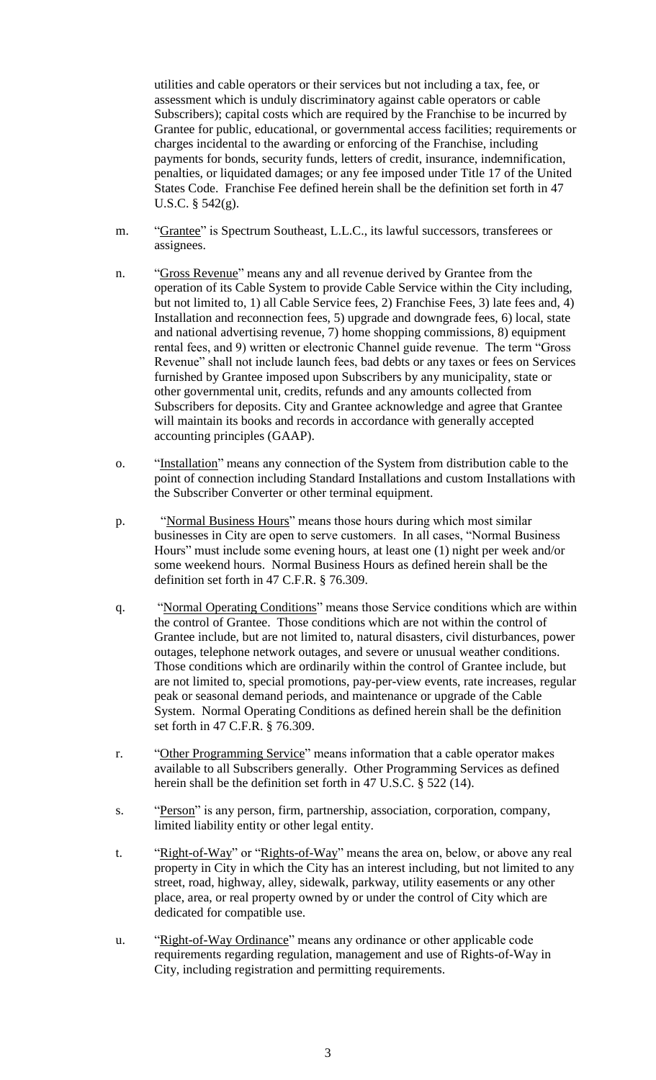utilities and cable operators or their services but not including a tax, fee, or assessment which is unduly discriminatory against cable operators or cable Subscribers); capital costs which are required by the Franchise to be incurred by Grantee for public, educational, or governmental access facilities; requirements or charges incidental to the awarding or enforcing of the Franchise, including payments for bonds, security funds, letters of credit, insurance, indemnification, penalties, or liquidated damages; or any fee imposed under Title 17 of the United States Code. Franchise Fee defined herein shall be the definition set forth in 47 U.S.C. § 542(g).

- m. "Grantee" is Spectrum Southeast, L.L.C., its lawful successors, transferees or assignees.
- n. "Gross Revenue" means any and all revenue derived by Grantee from the operation of its Cable System to provide Cable Service within the City including, but not limited to, 1) all Cable Service fees, 2) Franchise Fees, 3) late fees and, 4) Installation and reconnection fees, 5) upgrade and downgrade fees, 6) local, state and national advertising revenue, 7) home shopping commissions, 8) equipment rental fees, and 9) written or electronic Channel guide revenue. The term "Gross Revenue" shall not include launch fees, bad debts or any taxes or fees on Services furnished by Grantee imposed upon Subscribers by any municipality, state or other governmental unit, credits, refunds and any amounts collected from Subscribers for deposits. City and Grantee acknowledge and agree that Grantee will maintain its books and records in accordance with generally accepted accounting principles (GAAP).
- o. "Installation" means any connection of the System from distribution cable to the point of connection including Standard Installations and custom Installations with the Subscriber Converter or other terminal equipment.
- p. "Normal Business Hours" means those hours during which most similar businesses in City are open to serve customers. In all cases, "Normal Business Hours" must include some evening hours, at least one (1) night per week and/or some weekend hours. Normal Business Hours as defined herein shall be the definition set forth in 47 C.F.R. § 76.309.
- q. "Normal Operating Conditions" means those Service conditions which are within the control of Grantee. Those conditions which are not within the control of Grantee include, but are not limited to, natural disasters, civil disturbances, power outages, telephone network outages, and severe or unusual weather conditions. Those conditions which are ordinarily within the control of Grantee include, but are not limited to, special promotions, pay-per-view events, rate increases, regular peak or seasonal demand periods, and maintenance or upgrade of the Cable System. Normal Operating Conditions as defined herein shall be the definition set forth in 47 C.F.R. § 76.309.
- r. "Other Programming Service" means information that a cable operator makes available to all Subscribers generally. Other Programming Services as defined herein shall be the definition set forth in 47 U.S.C. § 522 (14).
- s. "Person" is any person, firm, partnership, association, corporation, company, limited liability entity or other legal entity.
- t. "Right-of-Way" or "Rights-of-Way" means the area on, below, or above any real property in City in which the City has an interest including, but not limited to any street, road, highway, alley, sidewalk, parkway, utility easements or any other place, area, or real property owned by or under the control of City which are dedicated for compatible use.
- u. "Right-of-Way Ordinance" means any ordinance or other applicable code requirements regarding regulation, management and use of Rights-of-Way in City, including registration and permitting requirements.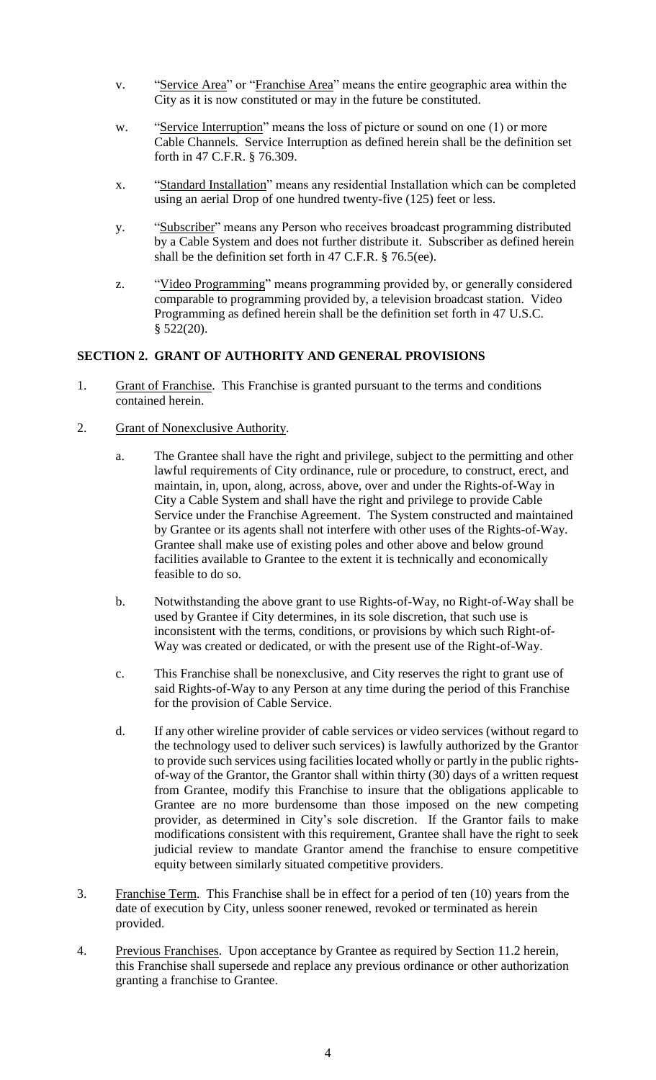- v. "Service Area" or "Franchise Area" means the entire geographic area within the City as it is now constituted or may in the future be constituted.
- w. "Service Interruption" means the loss of picture or sound on one (1) or more Cable Channels. Service Interruption as defined herein shall be the definition set forth in 47 C.F.R. § 76.309.
- x. "Standard Installation" means any residential Installation which can be completed using an aerial Drop of one hundred twenty-five (125) feet or less.
- y. "Subscriber" means any Person who receives broadcast programming distributed by a Cable System and does not further distribute it. Subscriber as defined herein shall be the definition set forth in 47 C.F.R. § 76.5(ee).
- z. "Video Programming" means programming provided by, or generally considered comparable to programming provided by, a television broadcast station. Video Programming as defined herein shall be the definition set forth in 47 U.S.C.  $$522(20).$

## **SECTION 2. GRANT OF AUTHORITY AND GENERAL PROVISIONS**

- 1. Grant of Franchise. This Franchise is granted pursuant to the terms and conditions contained herein.
- 2. Grant of Nonexclusive Authority.
	- a. The Grantee shall have the right and privilege, subject to the permitting and other lawful requirements of City ordinance, rule or procedure, to construct, erect, and maintain, in, upon, along, across, above, over and under the Rights-of-Way in City a Cable System and shall have the right and privilege to provide Cable Service under the Franchise Agreement. The System constructed and maintained by Grantee or its agents shall not interfere with other uses of the Rights-of-Way. Grantee shall make use of existing poles and other above and below ground facilities available to Grantee to the extent it is technically and economically feasible to do so.
	- b. Notwithstanding the above grant to use Rights-of-Way, no Right-of-Way shall be used by Grantee if City determines, in its sole discretion, that such use is inconsistent with the terms, conditions, or provisions by which such Right-of-Way was created or dedicated, or with the present use of the Right-of-Way.
	- c. This Franchise shall be nonexclusive, and City reserves the right to grant use of said Rights-of-Way to any Person at any time during the period of this Franchise for the provision of Cable Service.
	- d. If any other wireline provider of cable services or video services (without regard to the technology used to deliver such services) is lawfully authorized by the Grantor to provide such services using facilities located wholly or partly in the public rightsof-way of the Grantor, the Grantor shall within thirty (30) days of a written request from Grantee, modify this Franchise to insure that the obligations applicable to Grantee are no more burdensome than those imposed on the new competing provider, as determined in City's sole discretion. If the Grantor fails to make modifications consistent with this requirement, Grantee shall have the right to seek judicial review to mandate Grantor amend the franchise to ensure competitive equity between similarly situated competitive providers.
- 3. Franchise Term. This Franchise shall be in effect for a period of ten (10) years from the date of execution by City, unless sooner renewed, revoked or terminated as herein provided.
- 4. Previous Franchises. Upon acceptance by Grantee as required by Section 11.2 herein, this Franchise shall supersede and replace any previous ordinance or other authorization granting a franchise to Grantee.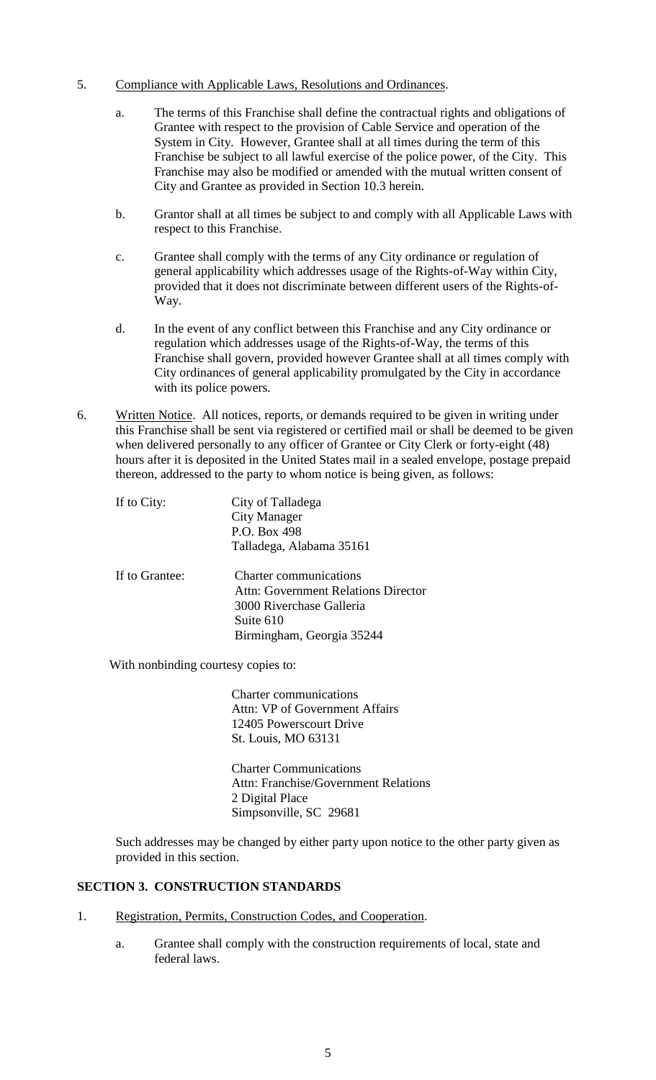- 5. Compliance with Applicable Laws, Resolutions and Ordinances.
	- a. The terms of this Franchise shall define the contractual rights and obligations of Grantee with respect to the provision of Cable Service and operation of the System in City. However, Grantee shall at all times during the term of this Franchise be subject to all lawful exercise of the police power, of the City. This Franchise may also be modified or amended with the mutual written consent of City and Grantee as provided in Section 10.3 herein.
	- b. Grantor shall at all times be subject to and comply with all Applicable Laws with respect to this Franchise.
	- c. Grantee shall comply with the terms of any City ordinance or regulation of general applicability which addresses usage of the Rights-of-Way within City, provided that it does not discriminate between different users of the Rights-of-Way.
	- d. In the event of any conflict between this Franchise and any City ordinance or regulation which addresses usage of the Rights-of-Way, the terms of this Franchise shall govern, provided however Grantee shall at all times comply with City ordinances of general applicability promulgated by the City in accordance with its police powers.
- 6. Written Notice. All notices, reports, or demands required to be given in writing under this Franchise shall be sent via registered or certified mail or shall be deemed to be given when delivered personally to any officer of Grantee or City Clerk or forty-eight (48) hours after it is deposited in the United States mail in a sealed envelope, postage prepaid thereon, addressed to the party to whom notice is being given, as follows:

| If to City:    | City of Talladega<br>City Manager<br>P.O. Box 498<br>Talladega, Alabama 35161                                                              |
|----------------|--------------------------------------------------------------------------------------------------------------------------------------------|
| If to Grantee: | <b>Charter communications</b><br>Attn: Government Relations Director<br>3000 Riverchase Galleria<br>Suite 610<br>Birmingham, Georgia 35244 |

With nonbinding courtesy copies to:

 Charter communications Attn: VP of Government Affairs 12405 Powerscourt Drive St. Louis, MO 63131

Charter Communications Attn: Franchise/Government Relations 2 Digital Place Simpsonville, SC 29681

Such addresses may be changed by either party upon notice to the other party given as provided in this section.

# **SECTION 3. CONSTRUCTION STANDARDS**

- 1. Registration, Permits, Construction Codes, and Cooperation.
	- a. Grantee shall comply with the construction requirements of local, state and federal laws.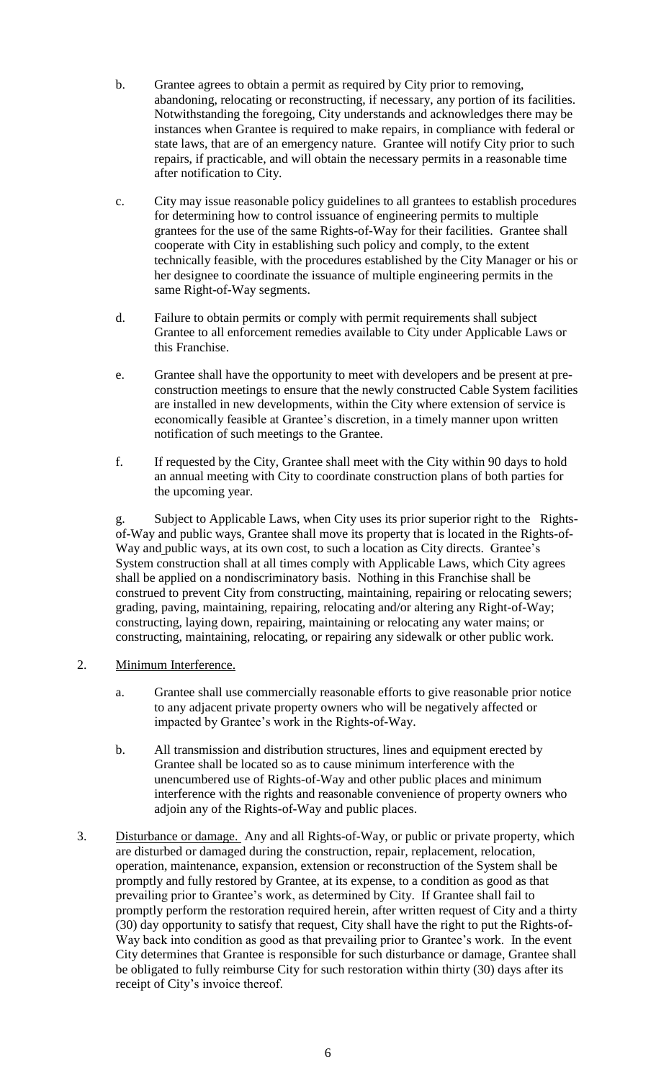- b. Grantee agrees to obtain a permit as required by City prior to removing, abandoning, relocating or reconstructing, if necessary, any portion of its facilities. Notwithstanding the foregoing, City understands and acknowledges there may be instances when Grantee is required to make repairs, in compliance with federal or state laws, that are of an emergency nature. Grantee will notify City prior to such repairs, if practicable, and will obtain the necessary permits in a reasonable time after notification to City.
- c. City may issue reasonable policy guidelines to all grantees to establish procedures for determining how to control issuance of engineering permits to multiple grantees for the use of the same Rights-of-Way for their facilities. Grantee shall cooperate with City in establishing such policy and comply, to the extent technically feasible, with the procedures established by the City Manager or his or her designee to coordinate the issuance of multiple engineering permits in the same Right-of-Way segments.
- d. Failure to obtain permits or comply with permit requirements shall subject Grantee to all enforcement remedies available to City under Applicable Laws or this Franchise.
- e. Grantee shall have the opportunity to meet with developers and be present at preconstruction meetings to ensure that the newly constructed Cable System facilities are installed in new developments, within the City where extension of service is economically feasible at Grantee's discretion, in a timely manner upon written notification of such meetings to the Grantee.
- f. If requested by the City, Grantee shall meet with the City within 90 days to hold an annual meeting with City to coordinate construction plans of both parties for the upcoming year.

g. Subject to Applicable Laws, when City uses its prior superior right to the Rightsof-Way and public ways, Grantee shall move its property that is located in the Rights-of-Way and public ways, at its own cost, to such a location as City directs. Grantee's System construction shall at all times comply with Applicable Laws, which City agrees shall be applied on a nondiscriminatory basis. Nothing in this Franchise shall be construed to prevent City from constructing, maintaining, repairing or relocating sewers; grading, paving, maintaining, repairing, relocating and/or altering any Right-of-Way; constructing, laying down, repairing, maintaining or relocating any water mains; or constructing, maintaining, relocating, or repairing any sidewalk or other public work.

- 2. Minimum Interference.
	- a. Grantee shall use commercially reasonable efforts to give reasonable prior notice to any adjacent private property owners who will be negatively affected or impacted by Grantee's work in the Rights-of-Way.
	- b. All transmission and distribution structures, lines and equipment erected by Grantee shall be located so as to cause minimum interference with the unencumbered use of Rights-of-Way and other public places and minimum interference with the rights and reasonable convenience of property owners who adjoin any of the Rights-of-Way and public places.
- 3. Disturbance or damage. Any and all Rights-of-Way, or public or private property, which are disturbed or damaged during the construction, repair, replacement, relocation, operation, maintenance, expansion, extension or reconstruction of the System shall be promptly and fully restored by Grantee, at its expense, to a condition as good as that prevailing prior to Grantee's work, as determined by City. If Grantee shall fail to promptly perform the restoration required herein, after written request of City and a thirty (30) day opportunity to satisfy that request, City shall have the right to put the Rights-of-Way back into condition as good as that prevailing prior to Grantee's work. In the event City determines that Grantee is responsible for such disturbance or damage, Grantee shall be obligated to fully reimburse City for such restoration within thirty (30) days after its receipt of City's invoice thereof.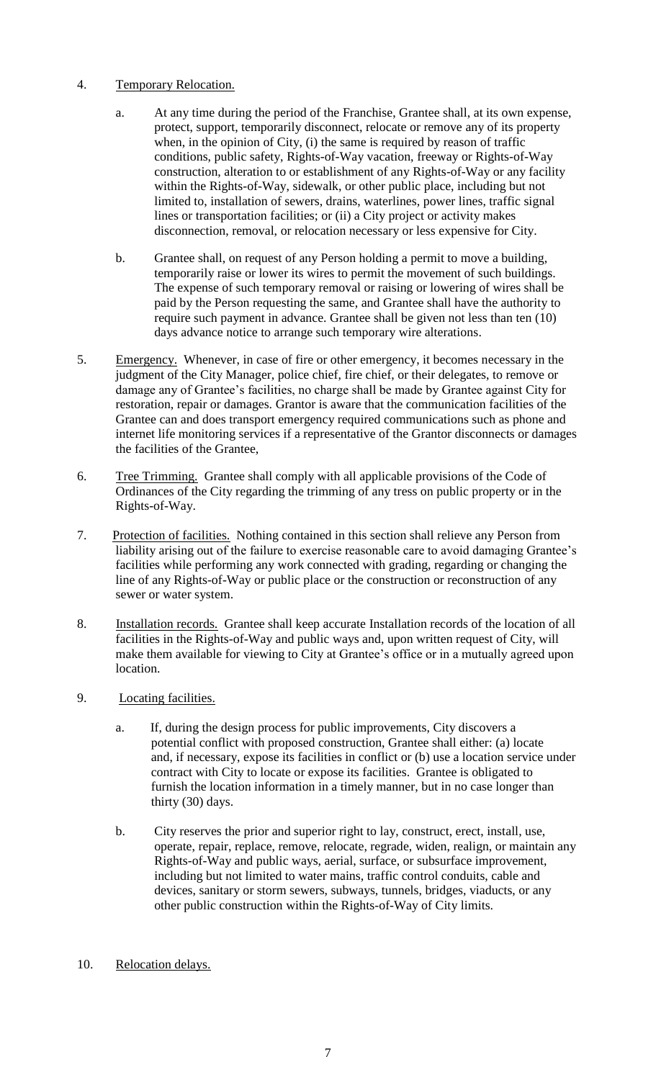## 4. Temporary Relocation.

- a. At any time during the period of the Franchise, Grantee shall, at its own expense, protect, support, temporarily disconnect, relocate or remove any of its property when, in the opinion of City, (i) the same is required by reason of traffic conditions, public safety, Rights-of-Way vacation, freeway or Rights-of-Way construction, alteration to or establishment of any Rights-of-Way or any facility within the Rights-of-Way, sidewalk, or other public place, including but not limited to, installation of sewers, drains, waterlines, power lines, traffic signal lines or transportation facilities; or (ii) a City project or activity makes disconnection, removal, or relocation necessary or less expensive for City.
- b. Grantee shall, on request of any Person holding a permit to move a building, temporarily raise or lower its wires to permit the movement of such buildings. The expense of such temporary removal or raising or lowering of wires shall be paid by the Person requesting the same, and Grantee shall have the authority to require such payment in advance. Grantee shall be given not less than ten (10) days advance notice to arrange such temporary wire alterations.
- 5. Emergency. Whenever, in case of fire or other emergency, it becomes necessary in the judgment of the City Manager, police chief, fire chief, or their delegates, to remove or damage any of Grantee's facilities, no charge shall be made by Grantee against City for restoration, repair or damages. Grantor is aware that the communication facilities of the Grantee can and does transport emergency required communications such as phone and internet life monitoring services if a representative of the Grantor disconnects or damages the facilities of the Grantee,
- 6. Tree Trimming. Grantee shall comply with all applicable provisions of the Code of Ordinances of the City regarding the trimming of any tress on public property or in the Rights-of-Way.
- 7. Protection of facilities. Nothing contained in this section shall relieve any Person from liability arising out of the failure to exercise reasonable care to avoid damaging Grantee's facilities while performing any work connected with grading, regarding or changing the line of any Rights-of-Way or public place or the construction or reconstruction of any sewer or water system.
- 8. Installation records. Grantee shall keep accurate Installation records of the location of all facilities in the Rights-of-Way and public ways and, upon written request of City, will make them available for viewing to City at Grantee's office or in a mutually agreed upon location.
- 9. Locating facilities.
	- a. If, during the design process for public improvements, City discovers a potential conflict with proposed construction, Grantee shall either: (a) locate and, if necessary, expose its facilities in conflict or (b) use a location service under contract with City to locate or expose its facilities. Grantee is obligated to furnish the location information in a timely manner, but in no case longer than thirty (30) days.
	- b. City reserves the prior and superior right to lay, construct, erect, install, use, operate, repair, replace, remove, relocate, regrade, widen, realign, or maintain any Rights-of-Way and public ways, aerial, surface, or subsurface improvement, including but not limited to water mains, traffic control conduits, cable and devices, sanitary or storm sewers, subways, tunnels, bridges, viaducts, or any other public construction within the Rights-of-Way of City limits.
- 10. Relocation delays.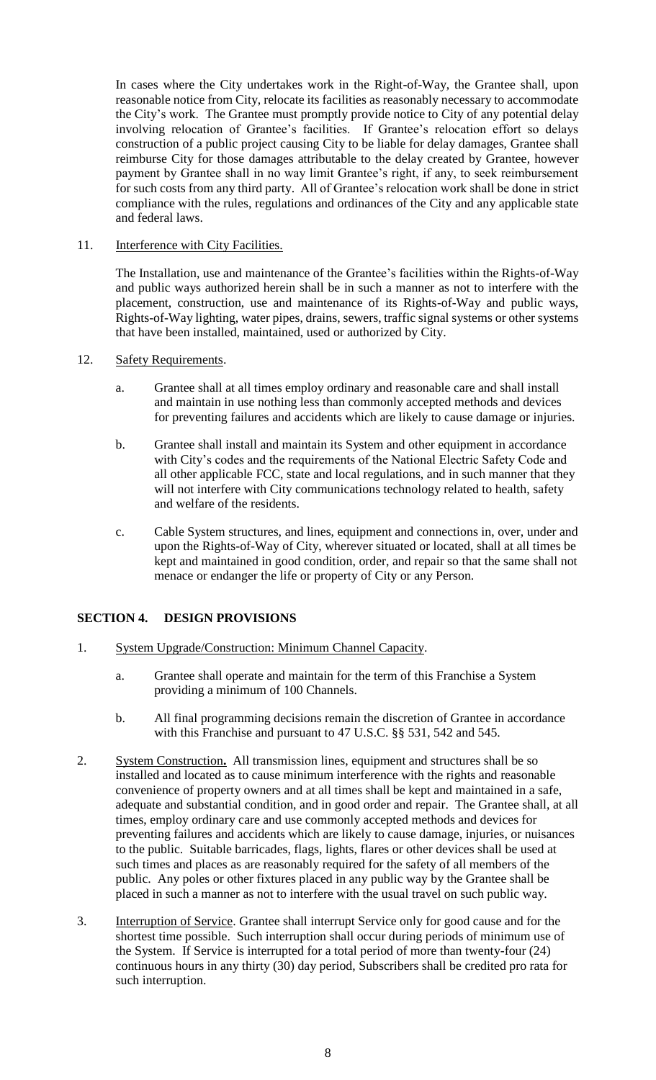In cases where the City undertakes work in the Right-of-Way, the Grantee shall, upon reasonable notice from City, relocate its facilities as reasonably necessary to accommodate the City's work. The Grantee must promptly provide notice to City of any potential delay involving relocation of Grantee's facilities. If Grantee's relocation effort so delays construction of a public project causing City to be liable for delay damages, Grantee shall reimburse City for those damages attributable to the delay created by Grantee, however payment by Grantee shall in no way limit Grantee's right, if any, to seek reimbursement for such costs from any third party. All of Grantee's relocation work shall be done in strict compliance with the rules, regulations and ordinances of the City and any applicable state and federal laws.

# 11. Interference with City Facilities.

The Installation, use and maintenance of the Grantee's facilities within the Rights-of-Way and public ways authorized herein shall be in such a manner as not to interfere with the placement, construction, use and maintenance of its Rights-of-Way and public ways, Rights-of-Way lighting, water pipes, drains, sewers, traffic signal systems or other systems that have been installed, maintained, used or authorized by City.

### 12. Safety Requirements.

- a. Grantee shall at all times employ ordinary and reasonable care and shall install and maintain in use nothing less than commonly accepted methods and devices for preventing failures and accidents which are likely to cause damage or injuries.
- b. Grantee shall install and maintain its System and other equipment in accordance with City's codes and the requirements of the National Electric Safety Code and all other applicable FCC, state and local regulations, and in such manner that they will not interfere with City communications technology related to health, safety and welfare of the residents.
- c. Cable System structures, and lines, equipment and connections in, over, under and upon the Rights-of-Way of City, wherever situated or located, shall at all times be kept and maintained in good condition, order, and repair so that the same shall not menace or endanger the life or property of City or any Person.

# **SECTION 4. DESIGN PROVISIONS**

- 1. System Upgrade/Construction: Minimum Channel Capacity.
	- a. Grantee shall operate and maintain for the term of this Franchise a System providing a minimum of 100 Channels.
	- b. All final programming decisions remain the discretion of Grantee in accordance with this Franchise and pursuant to 47 U.S.C. §§ 531, 542 and 545.
- 2. System Construction**.** All transmission lines, equipment and structures shall be so installed and located as to cause minimum interference with the rights and reasonable convenience of property owners and at all times shall be kept and maintained in a safe, adequate and substantial condition, and in good order and repair. The Grantee shall, at all times, employ ordinary care and use commonly accepted methods and devices for preventing failures and accidents which are likely to cause damage, injuries, or nuisances to the public. Suitable barricades, flags, lights, flares or other devices shall be used at such times and places as are reasonably required for the safety of all members of the public. Any poles or other fixtures placed in any public way by the Grantee shall be placed in such a manner as not to interfere with the usual travel on such public way.
- 3. Interruption of Service. Grantee shall interrupt Service only for good cause and for the shortest time possible. Such interruption shall occur during periods of minimum use of the System. If Service is interrupted for a total period of more than twenty-four (24) continuous hours in any thirty (30) day period, Subscribers shall be credited pro rata for such interruption.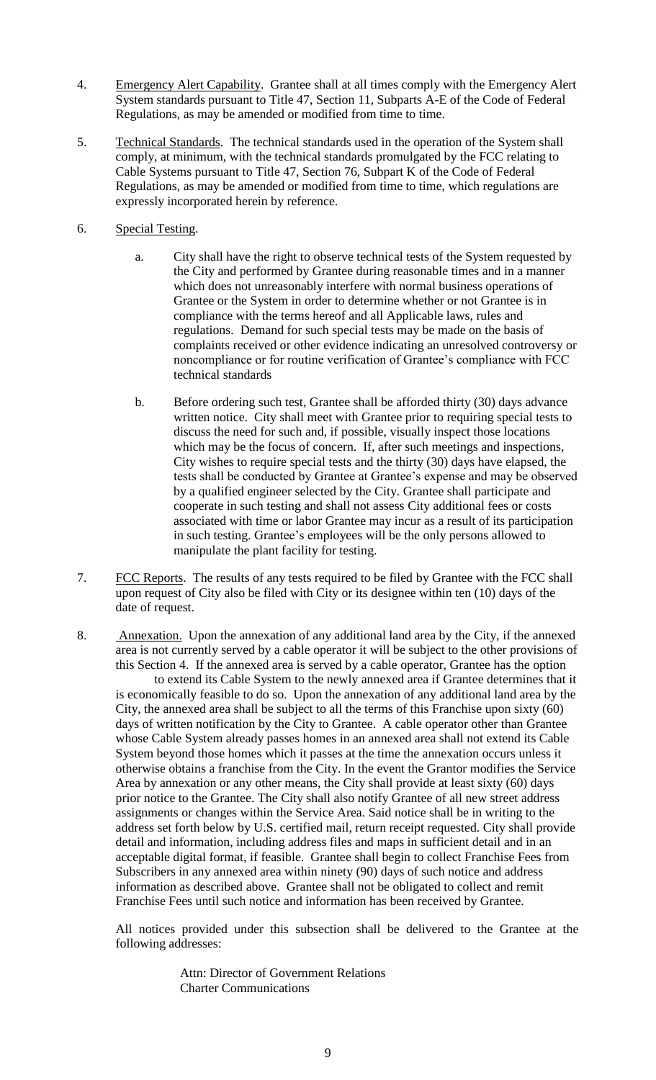- 4. Emergency Alert Capability. Grantee shall at all times comply with the Emergency Alert System standards pursuant to Title 47, Section 11, Subparts A-E of the Code of Federal Regulations, as may be amended or modified from time to time.
- 5. Technical Standards. The technical standards used in the operation of the System shall comply, at minimum, with the technical standards promulgated by the FCC relating to Cable Systems pursuant to Title 47, Section 76, Subpart K of the Code of Federal Regulations, as may be amended or modified from time to time, which regulations are expressly incorporated herein by reference.
- 6. Special Testing.
	- a. City shall have the right to observe technical tests of the System requested by the City and performed by Grantee during reasonable times and in a manner which does not unreasonably interfere with normal business operations of Grantee or the System in order to determine whether or not Grantee is in compliance with the terms hereof and all Applicable laws, rules and regulations. Demand for such special tests may be made on the basis of complaints received or other evidence indicating an unresolved controversy or noncompliance or for routine verification of Grantee's compliance with FCC technical standards
	- b. Before ordering such test, Grantee shall be afforded thirty (30) days advance written notice. City shall meet with Grantee prior to requiring special tests to discuss the need for such and, if possible, visually inspect those locations which may be the focus of concern. If, after such meetings and inspections, City wishes to require special tests and the thirty (30) days have elapsed, the tests shall be conducted by Grantee at Grantee's expense and may be observed by a qualified engineer selected by the City. Grantee shall participate and cooperate in such testing and shall not assess City additional fees or costs associated with time or labor Grantee may incur as a result of its participation in such testing. Grantee's employees will be the only persons allowed to manipulate the plant facility for testing.
- 7. FCC Reports. The results of any tests required to be filed by Grantee with the FCC shall upon request of City also be filed with City or its designee within ten (10) days of the date of request.
- 8. Annexation. Upon the annexation of any additional land area by the City, if the annexed area is not currently served by a cable operator it will be subject to the other provisions of this Section 4. If the annexed area is served by a cable operator, Grantee has the option to extend its Cable System to the newly annexed area if Grantee determines that it is economically feasible to do so. Upon the annexation of any additional land area by the City, the annexed area shall be subject to all the terms of this Franchise upon sixty (60) days of written notification by the City to Grantee. A cable operator other than Grantee whose Cable System already passes homes in an annexed area shall not extend its Cable

System beyond those homes which it passes at the time the annexation occurs unless it otherwise obtains a franchise from the City. In the event the Grantor modifies the Service Area by annexation or any other means, the City shall provide at least sixty (60) days prior notice to the Grantee. The City shall also notify Grantee of all new street address assignments or changes within the Service Area. Said notice shall be in writing to the address set forth below by U.S. certified mail, return receipt requested. City shall provide detail and information, including address files and maps in sufficient detail and in an acceptable digital format, if feasible. Grantee shall begin to collect Franchise Fees from Subscribers in any annexed area within ninety (90) days of such notice and address information as described above. Grantee shall not be obligated to collect and remit Franchise Fees until such notice and information has been received by Grantee.

All notices provided under this subsection shall be delivered to the Grantee at the following addresses:

> Attn: Director of Government Relations Charter Communications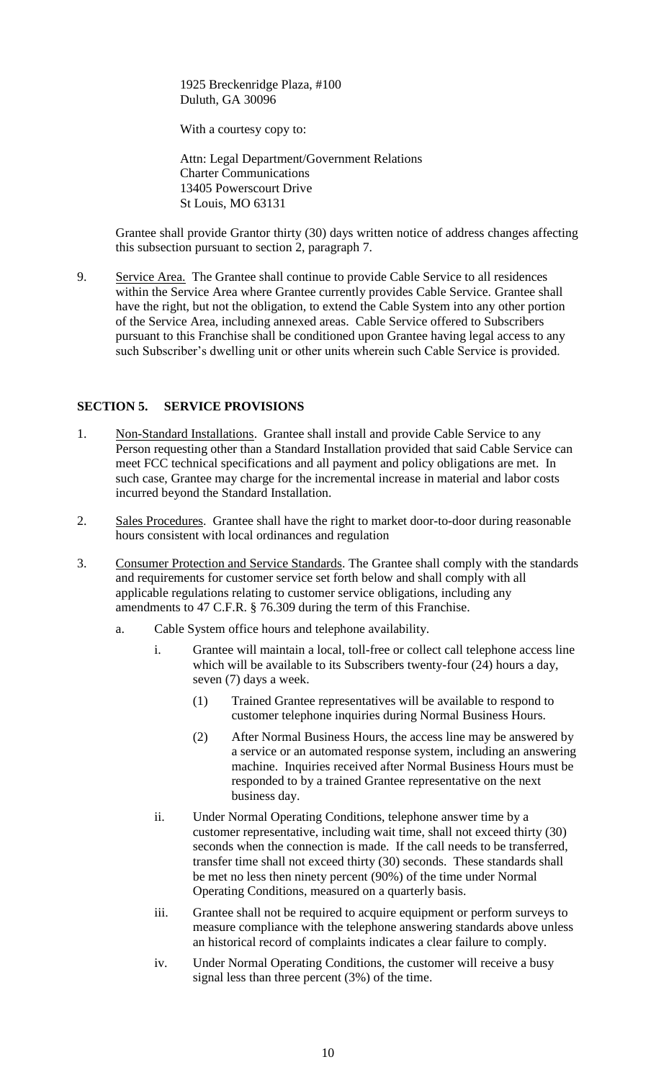1925 Breckenridge Plaza, #100 Duluth, GA 30096

With a courtesy copy to:

 Attn: Legal Department/Government Relations Charter Communications 13405 Powerscourt Drive St Louis, MO 63131

Grantee shall provide Grantor thirty (30) days written notice of address changes affecting this subsection pursuant to section 2, paragraph 7.

9. Service Area. The Grantee shall continue to provide Cable Service to all residences within the Service Area where Grantee currently provides Cable Service. Grantee shall have the right, but not the obligation, to extend the Cable System into any other portion of the Service Area, including annexed areas. Cable Service offered to Subscribers pursuant to this Franchise shall be conditioned upon Grantee having legal access to any such Subscriber's dwelling unit or other units wherein such Cable Service is provided.

### **SECTION 5. SERVICE PROVISIONS**

- 1. Non-Standard Installations. Grantee shall install and provide Cable Service to any Person requesting other than a Standard Installation provided that said Cable Service can meet FCC technical specifications and all payment and policy obligations are met. In such case, Grantee may charge for the incremental increase in material and labor costs incurred beyond the Standard Installation.
- 2. Sales Procedures. Grantee shall have the right to market door-to-door during reasonable hours consistent with local ordinances and regulation
- 3. Consumer Protection and Service Standards. The Grantee shall comply with the standards and requirements for customer service set forth below and shall comply with all applicable regulations relating to customer service obligations, including any amendments to 47 C.F.R. § 76.309 during the term of this Franchise.
	- a. Cable System office hours and telephone availability.
		- i. Grantee will maintain a local, toll-free or collect call telephone access line which will be available to its Subscribers twenty-four (24) hours a day, seven (7) days a week.
			- (1) Trained Grantee representatives will be available to respond to customer telephone inquiries during Normal Business Hours.
			- (2) After Normal Business Hours, the access line may be answered by a service or an automated response system, including an answering machine. Inquiries received after Normal Business Hours must be responded to by a trained Grantee representative on the next business day.
		- ii. Under Normal Operating Conditions, telephone answer time by a customer representative, including wait time, shall not exceed thirty (30) seconds when the connection is made. If the call needs to be transferred, transfer time shall not exceed thirty (30) seconds. These standards shall be met no less then ninety percent (90%) of the time under Normal Operating Conditions, measured on a quarterly basis.
		- iii. Grantee shall not be required to acquire equipment or perform surveys to measure compliance with the telephone answering standards above unless an historical record of complaints indicates a clear failure to comply.
		- iv. Under Normal Operating Conditions, the customer will receive a busy signal less than three percent (3%) of the time.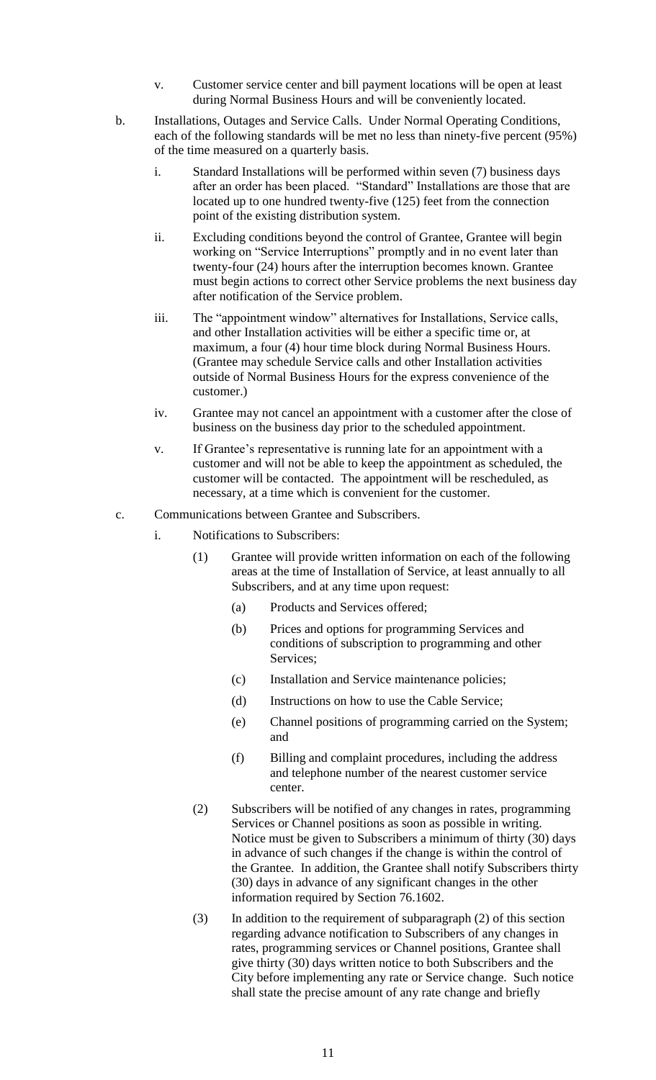- v. Customer service center and bill payment locations will be open at least during Normal Business Hours and will be conveniently located.
- b. Installations, Outages and Service Calls. Under Normal Operating Conditions, each of the following standards will be met no less than ninety-five percent (95%) of the time measured on a quarterly basis.
	- i. Standard Installations will be performed within seven (7) business days after an order has been placed. "Standard" Installations are those that are located up to one hundred twenty-five (125) feet from the connection point of the existing distribution system.
	- ii. Excluding conditions beyond the control of Grantee, Grantee will begin working on "Service Interruptions" promptly and in no event later than twenty-four (24) hours after the interruption becomes known. Grantee must begin actions to correct other Service problems the next business day after notification of the Service problem.
	- iii. The "appointment window" alternatives for Installations, Service calls, and other Installation activities will be either a specific time or, at maximum, a four (4) hour time block during Normal Business Hours. (Grantee may schedule Service calls and other Installation activities outside of Normal Business Hours for the express convenience of the customer.)
	- iv. Grantee may not cancel an appointment with a customer after the close of business on the business day prior to the scheduled appointment.
	- v. If Grantee's representative is running late for an appointment with a customer and will not be able to keep the appointment as scheduled, the customer will be contacted. The appointment will be rescheduled, as necessary, at a time which is convenient for the customer.
- c. Communications between Grantee and Subscribers.
	- i. Notifications to Subscribers:
		- (1) Grantee will provide written information on each of the following areas at the time of Installation of Service, at least annually to all Subscribers, and at any time upon request:
			- (a) Products and Services offered;
			- (b) Prices and options for programming Services and conditions of subscription to programming and other Services;
			- (c) Installation and Service maintenance policies;
			- (d) Instructions on how to use the Cable Service;
			- (e) Channel positions of programming carried on the System; and
			- (f) Billing and complaint procedures, including the address and telephone number of the nearest customer service center.
		- (2) Subscribers will be notified of any changes in rates, programming Services or Channel positions as soon as possible in writing. Notice must be given to Subscribers a minimum of thirty (30) days in advance of such changes if the change is within the control of the Grantee. In addition, the Grantee shall notify Subscribers thirty (30) days in advance of any significant changes in the other information required by Section 76.1602.
		- (3) In addition to the requirement of subparagraph (2) of this section regarding advance notification to Subscribers of any changes in rates, programming services or Channel positions, Grantee shall give thirty (30) days written notice to both Subscribers and the City before implementing any rate or Service change. Such notice shall state the precise amount of any rate change and briefly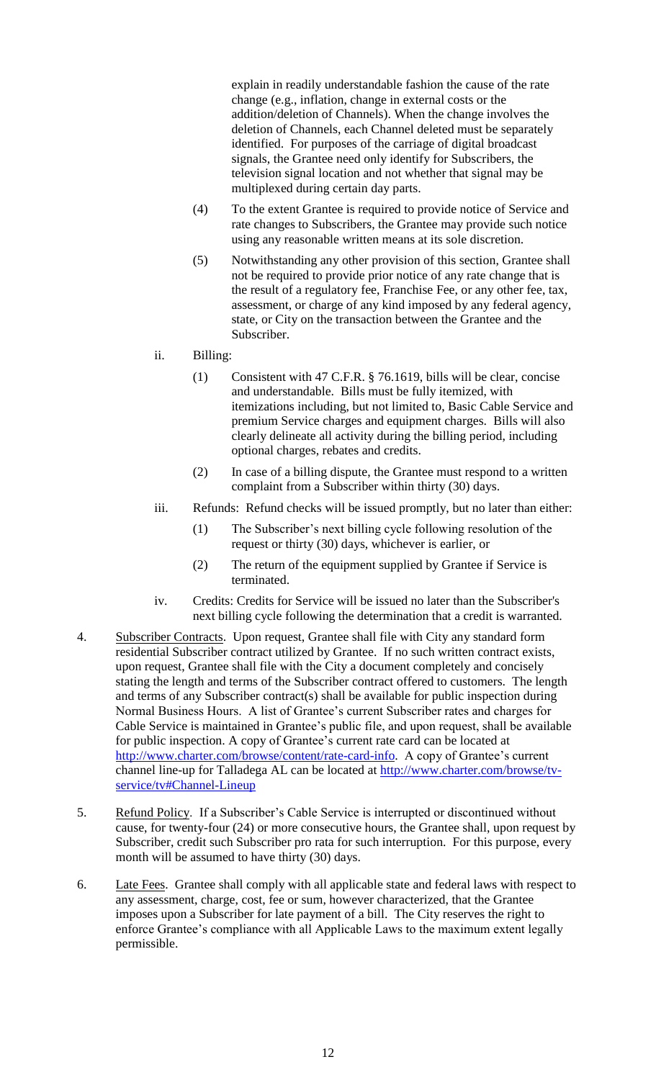explain in readily understandable fashion the cause of the rate change (e.g., inflation, change in external costs or the addition/deletion of Channels). When the change involves the deletion of Channels, each Channel deleted must be separately identified. For purposes of the carriage of digital broadcast signals, the Grantee need only identify for Subscribers, the television signal location and not whether that signal may be multiplexed during certain day parts.

- (4) To the extent Grantee is required to provide notice of Service and rate changes to Subscribers, the Grantee may provide such notice using any reasonable written means at its sole discretion.
- (5) Notwithstanding any other provision of this section, Grantee shall not be required to provide prior notice of any rate change that is the result of a regulatory fee, Franchise Fee, or any other fee, tax, assessment, or charge of any kind imposed by any federal agency, state, or City on the transaction between the Grantee and the Subscriber.
- ii. Billing:
	- (1) Consistent with 47 C.F.R. § 76.1619, bills will be clear, concise and understandable. Bills must be fully itemized, with itemizations including, but not limited to, Basic Cable Service and premium Service charges and equipment charges. Bills will also clearly delineate all activity during the billing period, including optional charges, rebates and credits.
	- (2) In case of a billing dispute, the Grantee must respond to a written complaint from a Subscriber within thirty (30) days.
- iii. Refunds: Refund checks will be issued promptly, but no later than either:
	- (1) The Subscriber's next billing cycle following resolution of the request or thirty (30) days, whichever is earlier, or
	- (2) The return of the equipment supplied by Grantee if Service is terminated.
- iv. Credits: Credits for Service will be issued no later than the Subscriber's next billing cycle following the determination that a credit is warranted.
- 4. Subscriber Contracts. Upon request, Grantee shall file with City any standard form residential Subscriber contract utilized by Grantee. If no such written contract exists, upon request, Grantee shall file with the City a document completely and concisely stating the length and terms of the Subscriber contract offered to customers. The length and terms of any Subscriber contract(s) shall be available for public inspection during Normal Business Hours. A list of Grantee's current Subscriber rates and charges for Cable Service is maintained in Grantee's public file, and upon request, shall be available for public inspection. A copy of Grantee's current rate card can be located at [http://www.charter.com/browse/content/rate-card-info.](http://www.charter.com/browse/content/rate-card-info) A copy of Grantee's current channel line-up for Talladega AL can be located at [http://www.charter.com/browse/tv](http://www.charter.com/browse/tv-service/tv#Channel-Lineup)[service/tv#Channel-Lineup](http://www.charter.com/browse/tv-service/tv#Channel-Lineup)
- 5. Refund Policy. If a Subscriber's Cable Service is interrupted or discontinued without cause, for twenty-four (24) or more consecutive hours, the Grantee shall, upon request by Subscriber, credit such Subscriber pro rata for such interruption. For this purpose, every month will be assumed to have thirty (30) days.
- 6. Late Fees. Grantee shall comply with all applicable state and federal laws with respect to any assessment, charge, cost, fee or sum, however characterized, that the Grantee imposes upon a Subscriber for late payment of a bill. The City reserves the right to enforce Grantee's compliance with all Applicable Laws to the maximum extent legally permissible.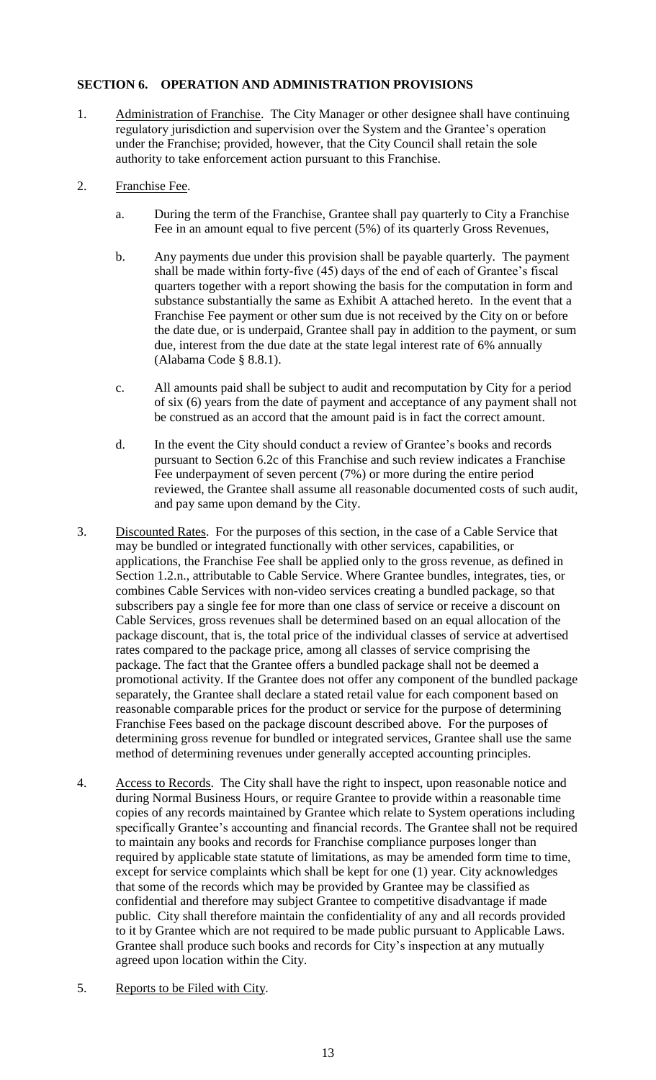# **SECTION 6. OPERATION AND ADMINISTRATION PROVISIONS**

- 1. Administration of Franchise. The City Manager or other designee shall have continuing regulatory jurisdiction and supervision over the System and the Grantee's operation under the Franchise; provided, however, that the City Council shall retain the sole authority to take enforcement action pursuant to this Franchise.
- 2. Franchise Fee.
	- a. During the term of the Franchise, Grantee shall pay quarterly to City a Franchise Fee in an amount equal to five percent (5%) of its quarterly Gross Revenues,
	- b. Any payments due under this provision shall be payable quarterly. The payment shall be made within forty-five (45) days of the end of each of Grantee's fiscal quarters together with a report showing the basis for the computation in form and substance substantially the same as Exhibit A attached hereto. In the event that a Franchise Fee payment or other sum due is not received by the City on or before the date due, or is underpaid, Grantee shall pay in addition to the payment, or sum due, interest from the due date at the state legal interest rate of 6% annually (Alabama Code § 8.8.1).
	- c. All amounts paid shall be subject to audit and recomputation by City for a period of six (6) years from the date of payment and acceptance of any payment shall not be construed as an accord that the amount paid is in fact the correct amount.
	- d. In the event the City should conduct a review of Grantee's books and records pursuant to Section 6.2c of this Franchise and such review indicates a Franchise Fee underpayment of seven percent (7%) or more during the entire period reviewed, the Grantee shall assume all reasonable documented costs of such audit, and pay same upon demand by the City.
- 3. Discounted Rates. For the purposes of this section, in the case of a Cable Service that may be bundled or integrated functionally with other services, capabilities, or applications, the Franchise Fee shall be applied only to the gross revenue, as defined in Section 1.2.n., attributable to Cable Service. Where Grantee bundles, integrates, ties, or combines Cable Services with non-video services creating a bundled package, so that subscribers pay a single fee for more than one class of service or receive a discount on Cable Services, gross revenues shall be determined based on an equal allocation of the package discount, that is, the total price of the individual classes of service at advertised rates compared to the package price, among all classes of service comprising the package. The fact that the Grantee offers a bundled package shall not be deemed a promotional activity. If the Grantee does not offer any component of the bundled package separately, the Grantee shall declare a stated retail value for each component based on reasonable comparable prices for the product or service for the purpose of determining Franchise Fees based on the package discount described above. For the purposes of determining gross revenue for bundled or integrated services, Grantee shall use the same method of determining revenues under generally accepted accounting principles.
- 4. Access to Records. The City shall have the right to inspect, upon reasonable notice and during Normal Business Hours, or require Grantee to provide within a reasonable time copies of any records maintained by Grantee which relate to System operations including specifically Grantee's accounting and financial records. The Grantee shall not be required to maintain any books and records for Franchise compliance purposes longer than required by applicable state statute of limitations, as may be amended form time to time, except for service complaints which shall be kept for one (1) year. City acknowledges that some of the records which may be provided by Grantee may be classified as confidential and therefore may subject Grantee to competitive disadvantage if made public. City shall therefore maintain the confidentiality of any and all records provided to it by Grantee which are not required to be made public pursuant to Applicable Laws. Grantee shall produce such books and records for City's inspection at any mutually agreed upon location within the City.
- 5. Reports to be Filed with City.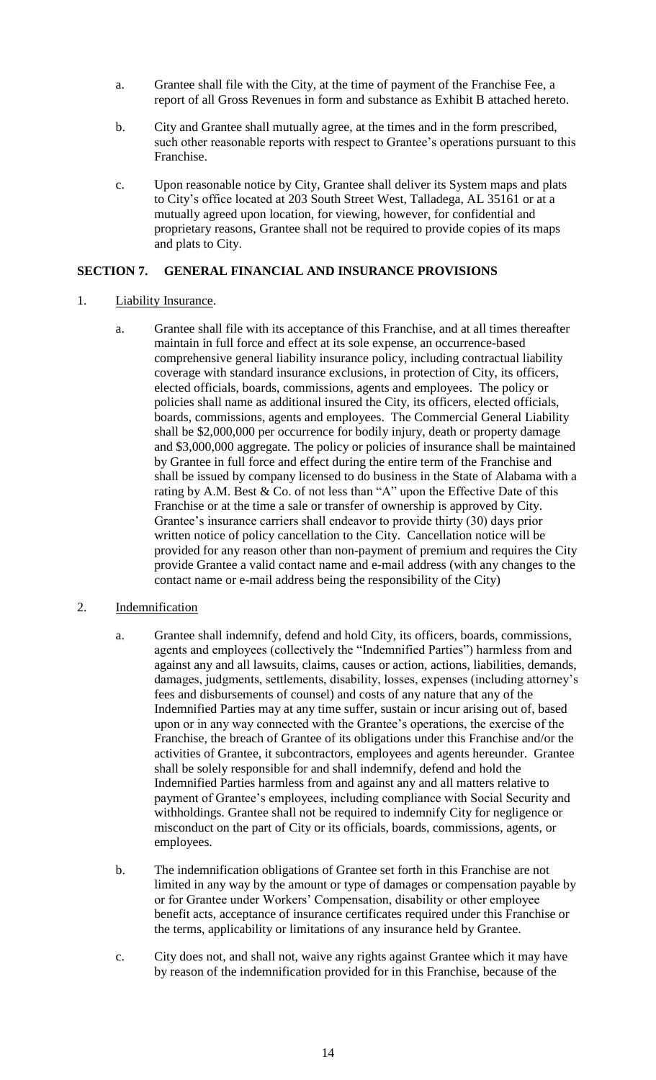- a. Grantee shall file with the City, at the time of payment of the Franchise Fee, a report of all Gross Revenues in form and substance as Exhibit B attached hereto.
- b. City and Grantee shall mutually agree, at the times and in the form prescribed, such other reasonable reports with respect to Grantee's operations pursuant to this Franchise.
- c. Upon reasonable notice by City, Grantee shall deliver its System maps and plats to City's office located at 203 South Street West, Talladega, AL 35161 or at a mutually agreed upon location, for viewing, however, for confidential and proprietary reasons, Grantee shall not be required to provide copies of its maps and plats to City.

### **SECTION 7. GENERAL FINANCIAL AND INSURANCE PROVISIONS**

- 1. Liability Insurance.
	- a. Grantee shall file with its acceptance of this Franchise, and at all times thereafter maintain in full force and effect at its sole expense, an occurrence-based comprehensive general liability insurance policy, including contractual liability coverage with standard insurance exclusions, in protection of City, its officers, elected officials, boards, commissions, agents and employees. The policy or policies shall name as additional insured the City, its officers, elected officials, boards, commissions, agents and employees. The Commercial General Liability shall be \$2,000,000 per occurrence for bodily injury, death or property damage and \$3,000,000 aggregate. The policy or policies of insurance shall be maintained by Grantee in full force and effect during the entire term of the Franchise and shall be issued by company licensed to do business in the State of Alabama with a rating by A.M. Best & Co. of not less than "A" upon the Effective Date of this Franchise or at the time a sale or transfer of ownership is approved by City. Grantee's insurance carriers shall endeavor to provide thirty (30) days prior written notice of policy cancellation to the City. Cancellation notice will be provided for any reason other than non-payment of premium and requires the City provide Grantee a valid contact name and e-mail address (with any changes to the contact name or e-mail address being the responsibility of the City)

# 2. Indemnification

- a. Grantee shall indemnify, defend and hold City, its officers, boards, commissions, agents and employees (collectively the "Indemnified Parties") harmless from and against any and all lawsuits, claims, causes or action, actions, liabilities, demands, damages, judgments, settlements, disability, losses, expenses (including attorney's fees and disbursements of counsel) and costs of any nature that any of the Indemnified Parties may at any time suffer, sustain or incur arising out of, based upon or in any way connected with the Grantee's operations, the exercise of the Franchise, the breach of Grantee of its obligations under this Franchise and/or the activities of Grantee, it subcontractors, employees and agents hereunder. Grantee shall be solely responsible for and shall indemnify, defend and hold the Indemnified Parties harmless from and against any and all matters relative to payment of Grantee's employees, including compliance with Social Security and withholdings. Grantee shall not be required to indemnify City for negligence or misconduct on the part of City or its officials, boards, commissions, agents, or employees.
- b. The indemnification obligations of Grantee set forth in this Franchise are not limited in any way by the amount or type of damages or compensation payable by or for Grantee under Workers' Compensation, disability or other employee benefit acts, acceptance of insurance certificates required under this Franchise or the terms, applicability or limitations of any insurance held by Grantee.
- c. City does not, and shall not, waive any rights against Grantee which it may have by reason of the indemnification provided for in this Franchise, because of the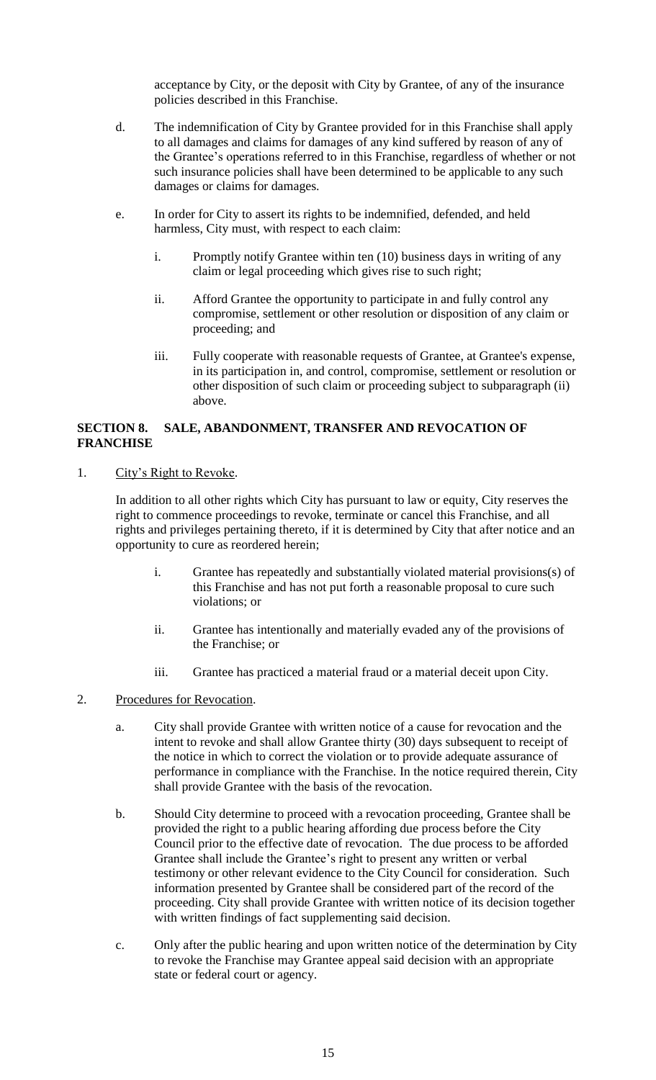acceptance by City, or the deposit with City by Grantee, of any of the insurance policies described in this Franchise.

- d. The indemnification of City by Grantee provided for in this Franchise shall apply to all damages and claims for damages of any kind suffered by reason of any of the Grantee's operations referred to in this Franchise, regardless of whether or not such insurance policies shall have been determined to be applicable to any such damages or claims for damages.
- e. In order for City to assert its rights to be indemnified, defended, and held harmless, City must, with respect to each claim:
	- i. Promptly notify Grantee within ten (10) business days in writing of any claim or legal proceeding which gives rise to such right;
	- ii. Afford Grantee the opportunity to participate in and fully control any compromise, settlement or other resolution or disposition of any claim or proceeding; and
	- iii. Fully cooperate with reasonable requests of Grantee, at Grantee's expense, in its participation in, and control, compromise, settlement or resolution or other disposition of such claim or proceeding subject to subparagraph (ii) above.

# **SECTION 8. SALE, ABANDONMENT, TRANSFER AND REVOCATION OF FRANCHISE**

1. City's Right to Revoke.

In addition to all other rights which City has pursuant to law or equity, City reserves the right to commence proceedings to revoke, terminate or cancel this Franchise, and all rights and privileges pertaining thereto, if it is determined by City that after notice and an opportunity to cure as reordered herein;

- i. Grantee has repeatedly and substantially violated material provisions(s) of this Franchise and has not put forth a reasonable proposal to cure such violations; or
- ii. Grantee has intentionally and materially evaded any of the provisions of the Franchise; or
- iii. Grantee has practiced a material fraud or a material deceit upon City.
- 2. Procedures for Revocation.
	- a. City shall provide Grantee with written notice of a cause for revocation and the intent to revoke and shall allow Grantee thirty (30) days subsequent to receipt of the notice in which to correct the violation or to provide adequate assurance of performance in compliance with the Franchise. In the notice required therein, City shall provide Grantee with the basis of the revocation.
	- b. Should City determine to proceed with a revocation proceeding, Grantee shall be provided the right to a public hearing affording due process before the City Council prior to the effective date of revocation. The due process to be afforded Grantee shall include the Grantee's right to present any written or verbal testimony or other relevant evidence to the City Council for consideration. Such information presented by Grantee shall be considered part of the record of the proceeding. City shall provide Grantee with written notice of its decision together with written findings of fact supplementing said decision.
	- c. Only after the public hearing and upon written notice of the determination by City to revoke the Franchise may Grantee appeal said decision with an appropriate state or federal court or agency.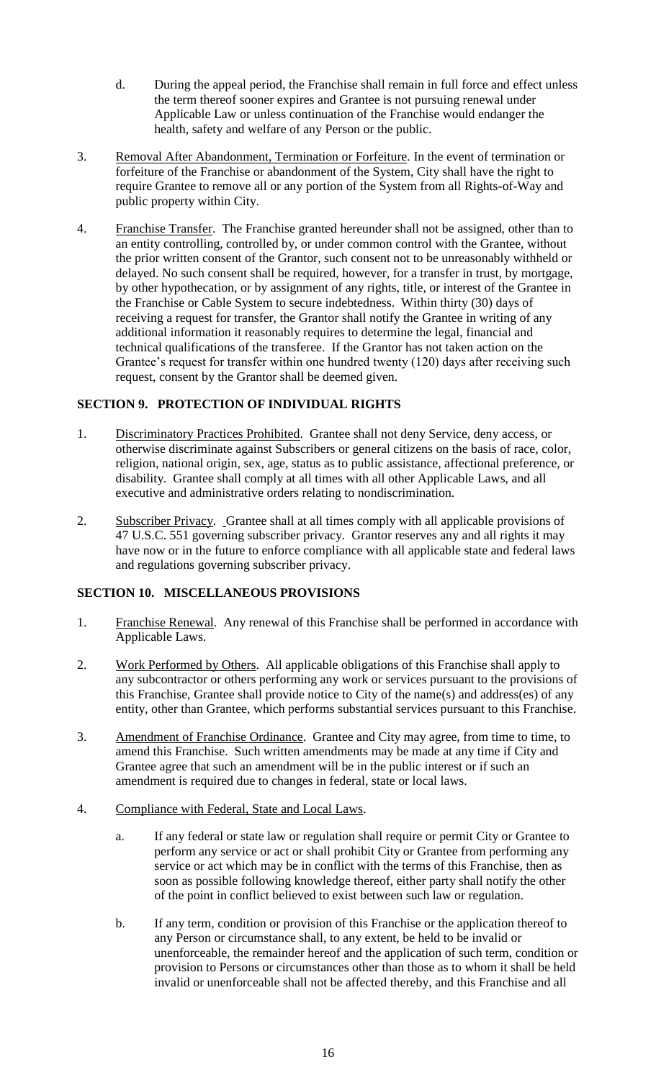- d. During the appeal period, the Franchise shall remain in full force and effect unless the term thereof sooner expires and Grantee is not pursuing renewal under Applicable Law or unless continuation of the Franchise would endanger the health, safety and welfare of any Person or the public.
- 3. Removal After Abandonment, Termination or Forfeiture. In the event of termination or forfeiture of the Franchise or abandonment of the System, City shall have the right to require Grantee to remove all or any portion of the System from all Rights-of-Way and public property within City.
- 4. Franchise Transfer. The Franchise granted hereunder shall not be assigned, other than to an entity controlling, controlled by, or under common control with the Grantee, without the prior written consent of the Grantor, such consent not to be unreasonably withheld or delayed. No such consent shall be required, however, for a transfer in trust, by mortgage, by other hypothecation, or by assignment of any rights, title, or interest of the Grantee in the Franchise or Cable System to secure indebtedness. Within thirty (30) days of receiving a request for transfer, the Grantor shall notify the Grantee in writing of any additional information it reasonably requires to determine the legal, financial and technical qualifications of the transferee. If the Grantor has not taken action on the Grantee's request for transfer within one hundred twenty (120) days after receiving such request, consent by the Grantor shall be deemed given.

# **SECTION 9. PROTECTION OF INDIVIDUAL RIGHTS**

- 1. Discriminatory Practices Prohibited. Grantee shall not deny Service, deny access, or otherwise discriminate against Subscribers or general citizens on the basis of race, color, religion, national origin, sex, age, status as to public assistance, affectional preference, or disability. Grantee shall comply at all times with all other Applicable Laws, and all executive and administrative orders relating to nondiscrimination.
- 2. Subscriber Privacy. Grantee shall at all times comply with all applicable provisions of 47 U.S.C. 551 governing subscriber privacy. Grantor reserves any and all rights it may have now or in the future to enforce compliance with all applicable state and federal laws and regulations governing subscriber privacy.

# **SECTION 10. MISCELLANEOUS PROVISIONS**

- 1. Franchise Renewal. Any renewal of this Franchise shall be performed in accordance with Applicable Laws.
- 2. Work Performed by Others. All applicable obligations of this Franchise shall apply to any subcontractor or others performing any work or services pursuant to the provisions of this Franchise, Grantee shall provide notice to City of the name(s) and address(es) of any entity, other than Grantee, which performs substantial services pursuant to this Franchise.
- 3. Amendment of Franchise Ordinance. Grantee and City may agree, from time to time, to amend this Franchise. Such written amendments may be made at any time if City and Grantee agree that such an amendment will be in the public interest or if such an amendment is required due to changes in federal, state or local laws.
- 4. Compliance with Federal, State and Local Laws.
	- a. If any federal or state law or regulation shall require or permit City or Grantee to perform any service or act or shall prohibit City or Grantee from performing any service or act which may be in conflict with the terms of this Franchise, then as soon as possible following knowledge thereof, either party shall notify the other of the point in conflict believed to exist between such law or regulation.
	- b. If any term, condition or provision of this Franchise or the application thereof to any Person or circumstance shall, to any extent, be held to be invalid or unenforceable, the remainder hereof and the application of such term, condition or provision to Persons or circumstances other than those as to whom it shall be held invalid or unenforceable shall not be affected thereby, and this Franchise and all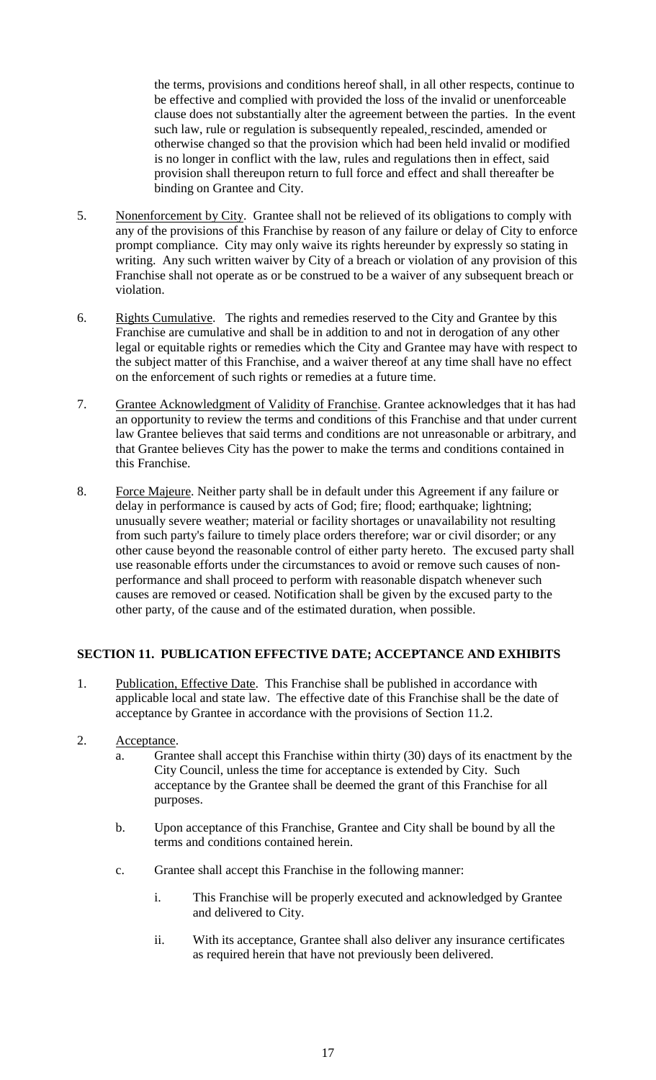the terms, provisions and conditions hereof shall, in all other respects, continue to be effective and complied with provided the loss of the invalid or unenforceable clause does not substantially alter the agreement between the parties. In the event such law, rule or regulation is subsequently repealed, rescinded, amended or otherwise changed so that the provision which had been held invalid or modified is no longer in conflict with the law, rules and regulations then in effect, said provision shall thereupon return to full force and effect and shall thereafter be binding on Grantee and City.

- 5. Nonenforcement by City. Grantee shall not be relieved of its obligations to comply with any of the provisions of this Franchise by reason of any failure or delay of City to enforce prompt compliance. City may only waive its rights hereunder by expressly so stating in writing. Any such written waiver by City of a breach or violation of any provision of this Franchise shall not operate as or be construed to be a waiver of any subsequent breach or violation.
- 6. Rights Cumulative. The rights and remedies reserved to the City and Grantee by this Franchise are cumulative and shall be in addition to and not in derogation of any other legal or equitable rights or remedies which the City and Grantee may have with respect to the subject matter of this Franchise, and a waiver thereof at any time shall have no effect on the enforcement of such rights or remedies at a future time.
- 7. Grantee Acknowledgment of Validity of Franchise. Grantee acknowledges that it has had an opportunity to review the terms and conditions of this Franchise and that under current law Grantee believes that said terms and conditions are not unreasonable or arbitrary, and that Grantee believes City has the power to make the terms and conditions contained in this Franchise.
- 8. Force Majeure. Neither party shall be in default under this Agreement if any failure or delay in performance is caused by acts of God; fire; flood; earthquake; lightning; unusually severe weather; material or facility shortages or unavailability not resulting from such party's failure to timely place orders therefore; war or civil disorder; or any other cause beyond the reasonable control of either party hereto. The excused party shall use reasonable efforts under the circumstances to avoid or remove such causes of nonperformance and shall proceed to perform with reasonable dispatch whenever such causes are removed or ceased. Notification shall be given by the excused party to the other party, of the cause and of the estimated duration, when possible.

### **SECTION 11. PUBLICATION EFFECTIVE DATE; ACCEPTANCE AND EXHIBITS**

- 1. Publication, Effective Date. This Franchise shall be published in accordance with applicable local and state law. The effective date of this Franchise shall be the date of acceptance by Grantee in accordance with the provisions of Section 11.2.
- 2. Acceptance.
	- a. Grantee shall accept this Franchise within thirty (30) days of its enactment by the City Council, unless the time for acceptance is extended by City. Such acceptance by the Grantee shall be deemed the grant of this Franchise for all purposes.
	- b. Upon acceptance of this Franchise, Grantee and City shall be bound by all the terms and conditions contained herein.
	- c. Grantee shall accept this Franchise in the following manner:
		- i. This Franchise will be properly executed and acknowledged by Grantee and delivered to City.
		- ii. With its acceptance, Grantee shall also deliver any insurance certificates as required herein that have not previously been delivered.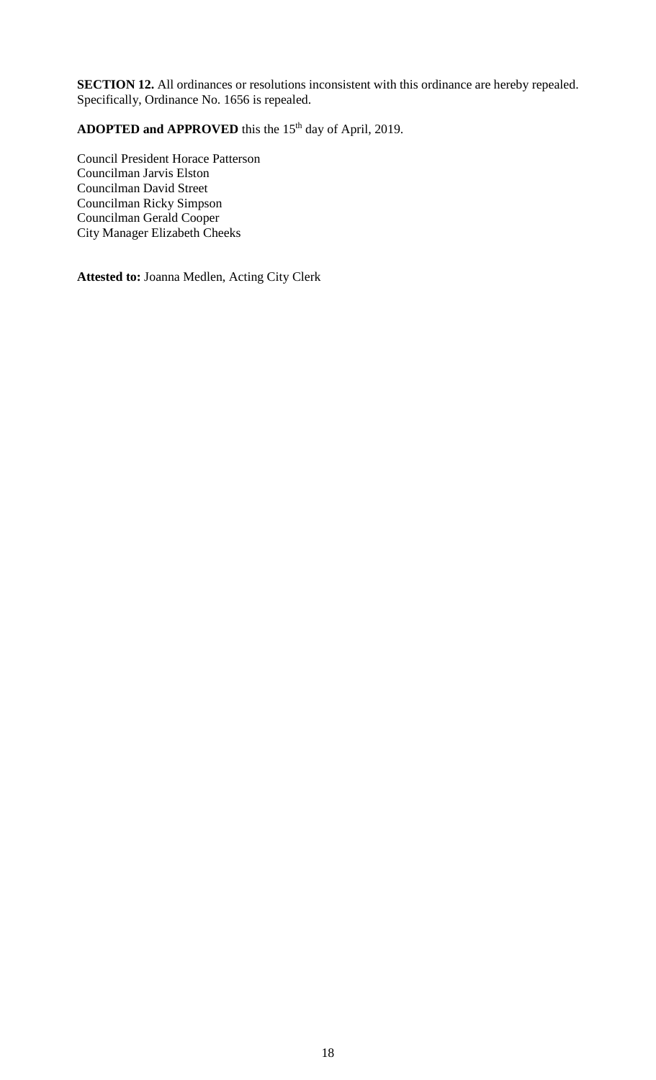**SECTION 12.** All ordinances or resolutions inconsistent with this ordinance are hereby repealed. Specifically, Ordinance No. 1656 is repealed.

ADOPTED and APPROVED this the 15<sup>th</sup> day of April, 2019.

Council President Horace Patterson Councilman Jarvis Elston Councilman David Street Councilman Ricky Simpson Councilman Gerald Cooper City Manager Elizabeth Cheeks

**Attested to:** Joanna Medlen, Acting City Clerk  $\ddot{\phantom{0}}$